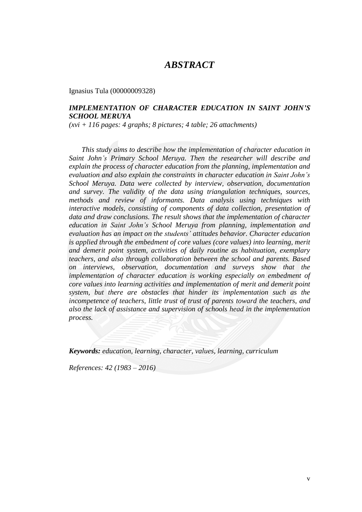# *ABSTRACT*

Ignasius Tula (00000009328)

### *IMPLEMENTATION OF CHARACTER EDUCATION IN SAINT JOHN'S SCHOOL MERUYA*

*(xvi + 116 pages: 4 graphs; 8 pictures; 4 table; 26 attachments)*

 *This study aims to describe how the implementation of character education in Saint John's Primary School Meruya. Then the researcher will describe and explain the process of character education from the planning, implementation and evaluation and also explain the constraints in character education in Saint John's School Meruya. Data were collected by interview, observation, documentation and survey. The validity of the data using triangulation techniques, sources, methods and review of informants. Data analysis using techniques with interactive models, consisting of components of data collection, presentation of data and draw conclusions. The result shows that the implementation of character education in Saint John's School Meruya from planning, implementation and evaluation has an impact on the students' attitudes behavior. Character education is applied through the embedment of core values (core values) into learning, merit and demerit point system, activities of daily routine as habituation, exemplary teachers, and also through collaboration between the school and parents. Based on interviews, observation, documentation and surveys show that the implementation of character education is working especially on embedment of core values into learning activities and implementation of merit and demerit point system, but there are obstacles that hinder its implementation such as the incompetence of teachers, little trust of trust of parents toward the teachers, and also the lack of assistance and supervision of schools head in the implementation process.*

*Keywords: education, learning, character, values, learning, curriculum*

*References: 42 (1983 – 2016)*